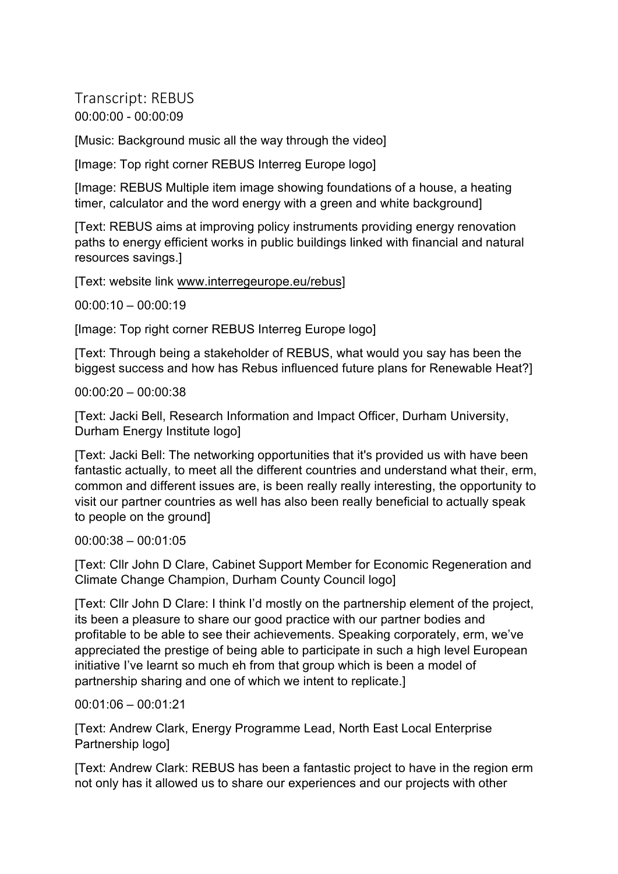Transcript: REBUS 00:00:00 - 00:00:09

[Music: Background music all the way through the video]

[Image: Top right corner REBUS Interreg Europe logo]

[Image: REBUS Multiple item image showing foundations of a house, a heating timer, calculator and the word energy with a green and white background]

[Text: REBUS aims at improving policy instruments providing energy renovation paths to energy efficient works in public buildings linked with financial and natural resources savings.]

[Text: website link [www.interregeurope.eu/rebus\]](http://www.interregeurope.eu/rebus)

00:00:10 – 00:00:19

[Image: Top right corner REBUS Interreg Europe logo]

[Text: Through being a stakeholder of REBUS, what would you say has been the biggest success and how has Rebus influenced future plans for Renewable Heat?]

00:00:20 – 00:00:38

[Text: Jacki Bell, Research Information and Impact Officer, Durham University, Durham Energy Institute logo]

[Text: Jacki Bell: The networking opportunities that it's provided us with have been fantastic actually, to meet all the different countries and understand what their, erm, common and different issues are, is been really really interesting, the opportunity to visit our partner countries as well has also been really beneficial to actually speak to people on the ground]

00:00:38 – 00:01:05

[Text: Cllr John D Clare, Cabinet Support Member for Economic Regeneration and Climate Change Champion, Durham County Council logo]

[Text: Cllr John D Clare: I think I'd mostly on the partnership element of the project, its been a pleasure to share our good practice with our partner bodies and profitable to be able to see their achievements. Speaking corporately, erm, we've appreciated the prestige of being able to participate in such a high level European initiative I've learnt so much eh from that group which is been a model of partnership sharing and one of which we intent to replicate.]

00:01:06 – 00:01:21

[Text: Andrew Clark, Energy Programme Lead, North East Local Enterprise Partnership logo]

[Text: Andrew Clark: REBUS has been a fantastic project to have in the region erm not only has it allowed us to share our experiences and our projects with other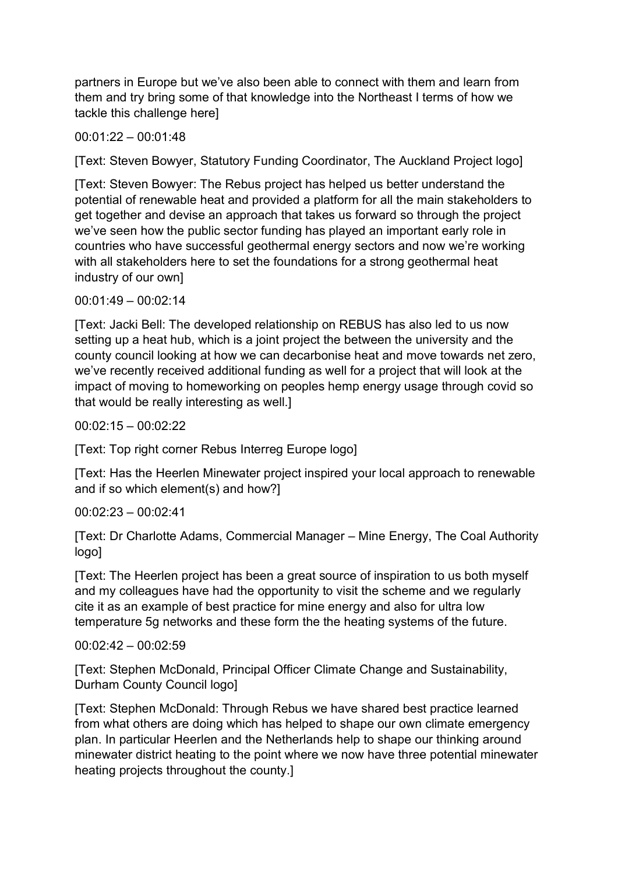partners in Europe but we've also been able to connect with them and learn from them and try bring some of that knowledge into the Northeast I terms of how we tackle this challenge here]

00:01:22 – 00:01:48

[Text: Steven Bowyer, Statutory Funding Coordinator, The Auckland Project logo]

[Text: Steven Bowyer: The Rebus project has helped us better understand the potential of renewable heat and provided a platform for all the main stakeholders to get together and devise an approach that takes us forward so through the project we've seen how the public sector funding has played an important early role in countries who have successful geothermal energy sectors and now we're working with all stakeholders here to set the foundations for a strong geothermal heat industry of our own]

00:01:49 – 00:02:14

[Text: Jacki Bell: The developed relationship on REBUS has also led to us now setting up a heat hub, which is a joint project the between the university and the county council looking at how we can decarbonise heat and move towards net zero, we've recently received additional funding as well for a project that will look at the impact of moving to homeworking on peoples hemp energy usage through covid so that would be really interesting as well.]

00:02:15 – 00:02:22

[Text: Top right corner Rebus Interreg Europe logo]

[Text: Has the Heerlen Minewater project inspired your local approach to renewable and if so which element(s) and how?]

00:02:23 – 00:02:41

[Text: Dr Charlotte Adams, Commercial Manager – Mine Energy, The Coal Authority logo]

[Text: The Heerlen project has been a great source of inspiration to us both myself and my colleagues have had the opportunity to visit the scheme and we regularly cite it as an example of best practice for mine energy and also for ultra low temperature 5g networks and these form the the heating systems of the future.

00:02:42 – 00:02:59

[Text: Stephen McDonald, Principal Officer Climate Change and Sustainability, Durham County Council logo]

[Text: Stephen McDonald: Through Rebus we have shared best practice learned from what others are doing which has helped to shape our own climate emergency plan. In particular Heerlen and the Netherlands help to shape our thinking around minewater district heating to the point where we now have three potential minewater heating projects throughout the county.]